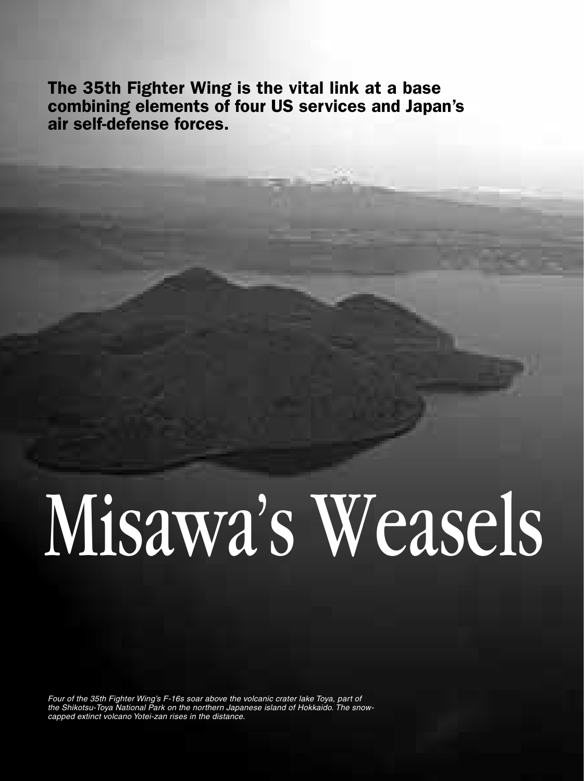The 35th Fighter Wing is the vital link at a base combining elements of four US services and Japan's air self-defense forces.

## Misawa's Weasels

*Four of the 35th Fighter Wing's F-16s soar above the volcanic crater lake Toya, part of the Shikotsu-Toya National Park on the northern Japanese island of Hokkaido. The snowcapped extinct volcano Yotei-zan rises in the distance.*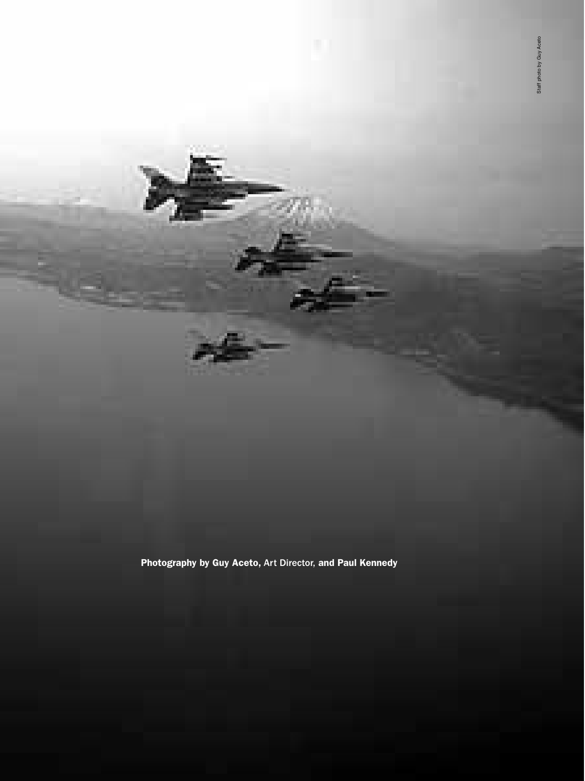Photography by Guy Aceto, Art Director, and Paul Kennedy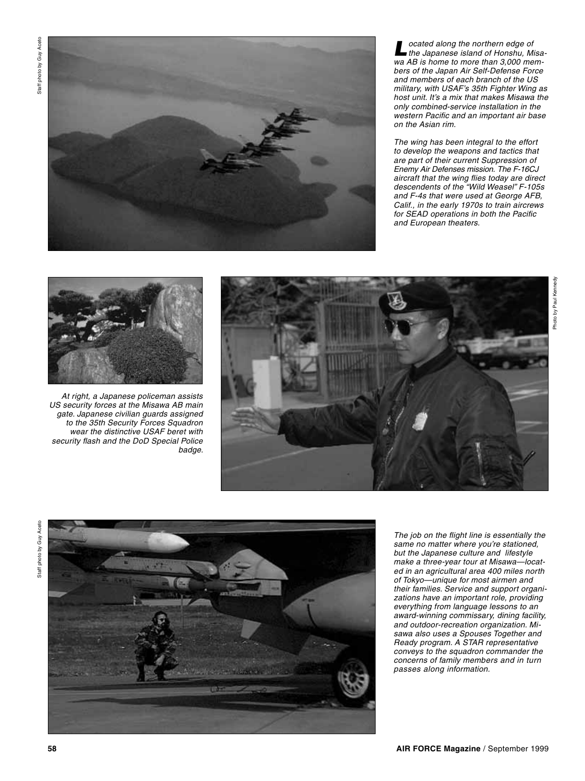

*Located along the northern edge of the Japanese island of Honshu, Misawa AB is home to more than 3,000 members of the Japan Air Self-Defense Force and members of each branch of the US military, with USAF's 35th Fighter Wing as host unit. It's a mix that makes Misawa the only combined-service installation in the western Pacific and an important air base on the Asian rim.*

*The wing has been integral to the effort to develop the weapons and tactics that are part of their current Suppression of Enemy Air Defenses mission. The F-16CJ aircraft that the wing flies today are direct descendents of the "Wild Weasel" F-105s and F-4s that were used at George AFB, Calif., in the early 1970s to train aircrews for SEAD operations in both the Pacific and European theaters.* 



*At right, a Japanese policeman assists US security forces at the Misawa AB main gate. Japanese civilian guards assigned to the 35th Security Forces Squadron wear the distinctive USAF beret with security flash and the DoD Special Police badge.* 





*The job on the flight line is essentially the same no matter where you're stationed, but the Japanese culture and lifestyle make a three-year tour at Misawa—located in an agricultural area 400 miles north of Tokyo—unique for most airmen and their families. Service and support organizations have an important role, providing everything from language lessons to an award-winning commissary, dining facility, and outdoor-recreation organization. Misawa also uses a Spouses Together and Ready program. A STAR representative conveys to the squadron commander the concerns of family members and in turn passes along information.*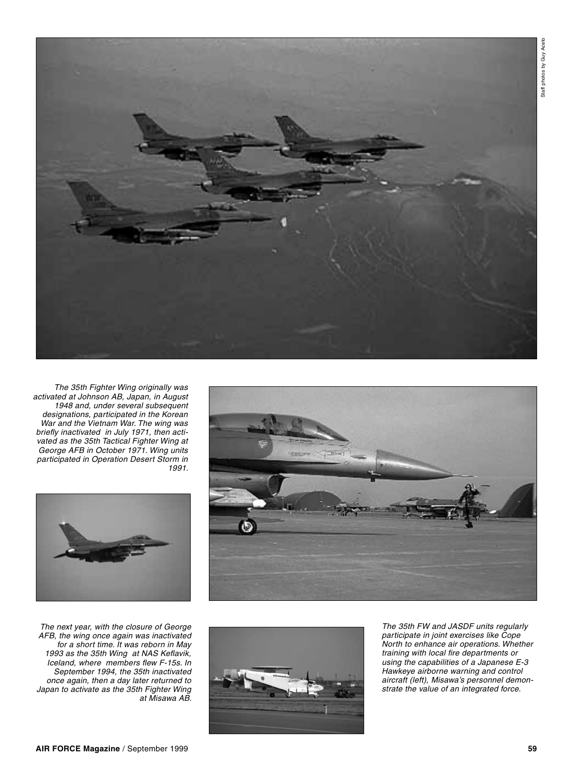





*The 35th Fighter Wing originally was activated at Johnson AB, Japan, in August 1948 and, under several subsequent designations, participated in the Korean War and the Vietnam War. The wing was briefly inactivated in July 1971, then activated as the 35th Tactical Fighter Wing at George AFB in October 1971. Wing units participated in Operation Desert Storm in 1991.*



*The next year, with the closure of George AFB, the wing once again was inactivated for a short time. It was reborn in May 1993 as the 35th Wing at NAS Keflavik, Iceland, where members flew F-15s. In September 1994, the 35th inactivated once again, then a day later returned to Japan to activate as the 35th Fighter Wing at Misawa AB.*

*The 35th FW and JASDF units regularly participate in joint exercises like Cope North to enhance air operations. Whether training with local fire departments or using the capabilities of a Japanese E-3 Hawkeye airborne warning and control aircraft (left), Misawa's personnel demonstrate the value of an integrated force.*

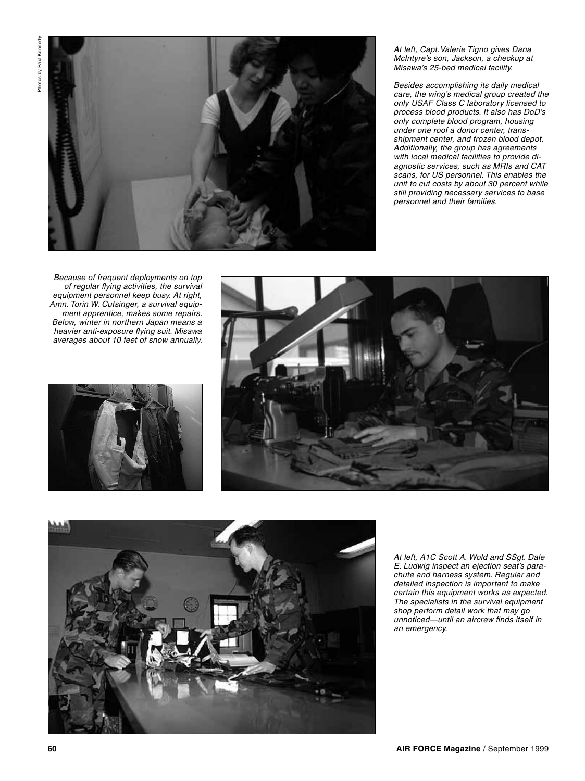

*At left, Capt.Valerie Tigno gives Dana McIntyre's son, Jackson, a checkup at Misawa's 25-bed medical facility.* 

*Besides accomplishing its daily medical care, the wing's medical group created the only USAF Class C laboratory licensed to process blood products. It also has DoD's only complete blood program, housing under one roof a donor center, transshipment center, and frozen blood depot. Additionally, the group has agreements with local medical facilities to provide diagnostic services, such as MRIs and CAT scans, for US personnel. This enables the unit to cut costs by about 30 percent while still providing necessary services to base personnel and their families.* 

*Because of frequent deployments on top of regular flying activities, the survival equipment personnel keep busy. At right, Amn. Torin W. Cutsinger, a survival equipment apprentice, makes some repairs. Below, winter in northern Japan means a heavier anti-exposure flying suit. Misawa averages about 10 feet of snow annually.*







*At left, A1C Scott A. Wold and SSgt. Dale E. Ludwig inspect an ejection seat's parachute and harness system. Regular and detailed inspection is important to make certain this equipment works as expected. The specialists in the survival equipment shop perform detail work that may go unnoticed—until an aircrew finds itself in an emergency.*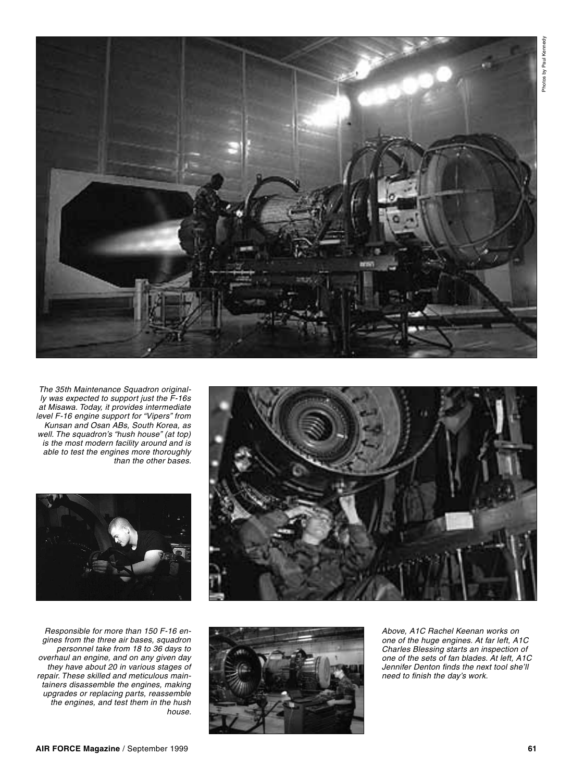

*The 35th Maintenance Squadron originally was expected to support just the F-16s at Misawa. Today, it provides intermediate level F-16 engine support for "Vipers" from Kunsan and Osan ABs, South Korea, as well. The squadron's "hush house" (at top) is the most modern facility around and is able to test the engines more thoroughly than the other bases.*



*Responsible for more than 150 F-16 engines from the three air bases, squadron personnel take from 18 to 36 days to overhaul an engine, and on any given day they have about 20 in various stages of repair. These skilled and meticulous maintainers disassemble the engines, making upgrades or replacing parts, reassemble the engines, and test them in the hush house.*





*Above, A1C Rachel Keenan works on one of the huge engines. At far left, A1C Charles Blessing starts an inspection of one of the sets of fan blades. At left, A1C Jennifer Denton finds the next tool she'll need to finish the day's work.*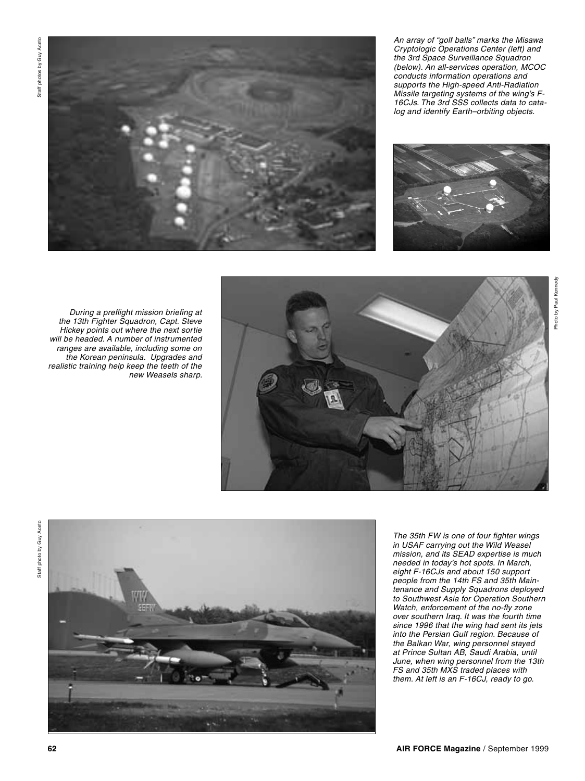Staff photos by Guy Aceto Staff photos by Guy Aceto



*An array of "golf balls" marks the Misawa Cryptologic Operations Center (left) and the 3rd Space Surveillance Squadron (below). An all-services operation, MCOC conducts information operations and supports the High-speed Anti-Radiation Missile targeting systems of the wing's F-16CJs. The 3rd SSS collects data to catalog and identify Earth–orbiting objects.*



*During a preflight mission briefing at the 13th Fighter Squadron, Capt. Steve Hickey points out where the next sortie will be headed. A number of instrumented ranges are available, including some on the Korean peninsula. Upgrades and realistic training help keep the teeth of the new Weasels sharp.* 





*The 35th FW is one of four fighter wings in USAF carrying out the Wild Weasel mission, and its SEAD expertise is much needed in today's hot spots. In March, eight F-16CJs and about 150 support people from the 14th FS and 35th Maintenance and Supply Squadrons deployed to Southwest Asia for Operation Southern Watch, enforcement of the no-fly zone over southern Iraq. It was the fourth time since 1996 that the wing had sent its jets into the Persian Gulf region. Because of the Balkan War, wing personnel stayed at Prince Sultan AB, Saudi Arabia, until June, when wing personnel from the 13th FS and 35th MXS traded places with them. At left is an F-16CJ, ready to go.*